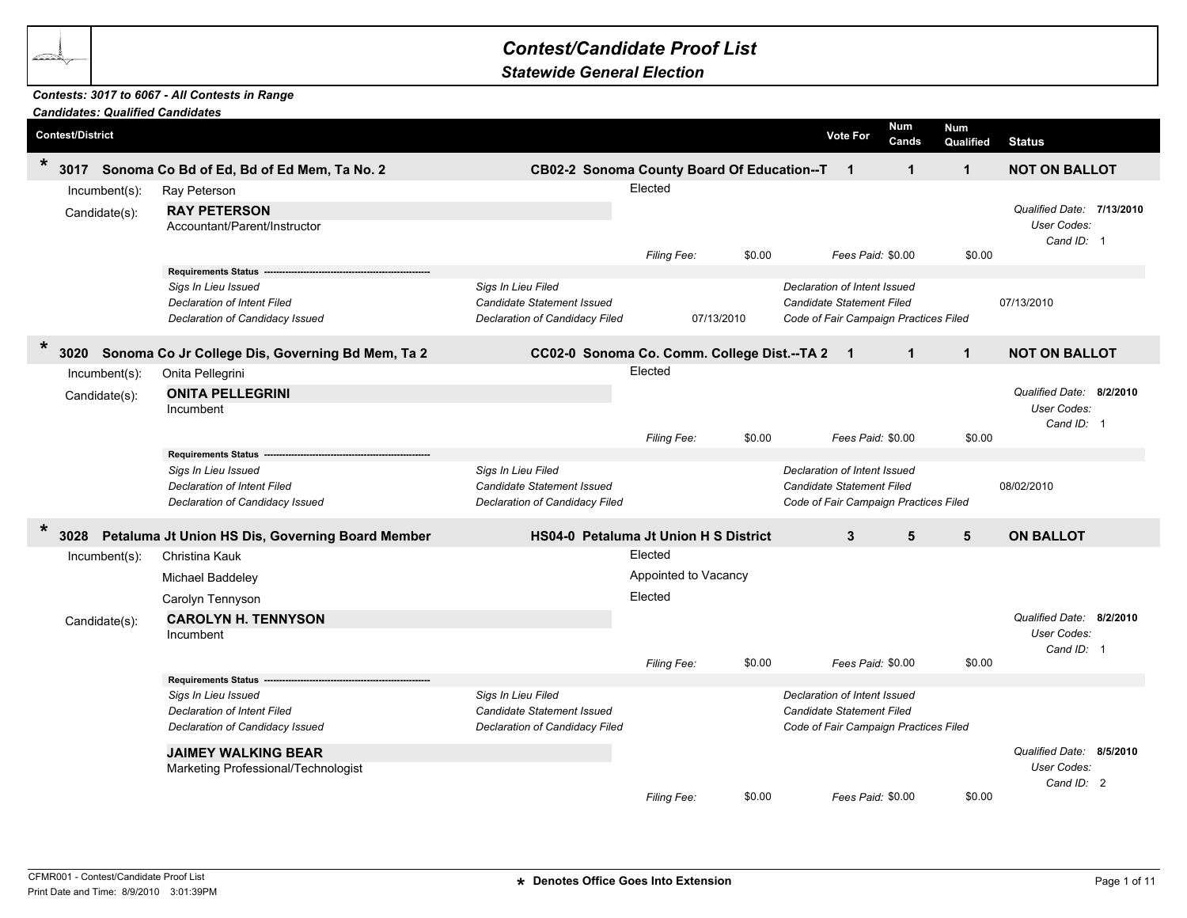## *Contest/Candidate Proof List*

*Statewide General Election*

## *Contests: 3017 to 6067 - All Contests in Range*

|         |                         |                  | <b>Candidates: Qualified Candidates</b>                               |                                                         |                      |            |                                                                  |                   |                         |                                                        |  |
|---------|-------------------------|------------------|-----------------------------------------------------------------------|---------------------------------------------------------|----------------------|------------|------------------------------------------------------------------|-------------------|-------------------------|--------------------------------------------------------|--|
|         | <b>Contest/District</b> |                  |                                                                       |                                                         |                      |            | <b>Vote For</b>                                                  | Num<br>Cands      | <b>Num</b><br>Qualified | <b>Status</b>                                          |  |
| $\star$ | 3017                    |                  | Sonoma Co Bd of Ed, Bd of Ed Mem, Ta No. 2                            | CB02-2 Sonoma County Board Of Education--T              |                      |            | $\overline{1}$                                                   | $\mathbf{1}$      | $\mathbf{1}$            | <b>NOT ON BALLOT</b>                                   |  |
|         |                         | Incumbent(s):    | Ray Peterson                                                          |                                                         | Elected              |            |                                                                  |                   |                         |                                                        |  |
|         |                         | Candidate(s):    | <b>RAY PETERSON</b><br>Accountant/Parent/Instructor                   |                                                         |                      |            |                                                                  |                   |                         | Qualified Date: 7/13/2010<br>User Codes:<br>Cand ID: 1 |  |
|         |                         |                  |                                                                       |                                                         | Filing Fee:          | \$0.00     |                                                                  | Fees Paid: \$0.00 | \$0.00                  |                                                        |  |
|         |                         |                  | <b>Requirements Status</b>                                            |                                                         |                      |            |                                                                  |                   |                         |                                                        |  |
|         |                         |                  | Sigs In Lieu Issued<br><b>Declaration of Intent Filed</b>             | Sigs In Lieu Filed<br>Candidate Statement Issued        |                      |            | Declaration of Intent Issued<br><b>Candidate Statement Filed</b> |                   |                         | 07/13/2010                                             |  |
|         |                         |                  | Declaration of Candidacy Issued                                       | Declaration of Candidacy Filed                          |                      | 07/13/2010 | Code of Fair Campaign Practices Filed                            |                   |                         |                                                        |  |
|         |                         |                  |                                                                       |                                                         |                      |            |                                                                  |                   |                         |                                                        |  |
| $\star$ | 3020                    |                  | Sonoma Co Jr College Dis, Governing Bd Mem, Ta 2                      | CC02-0 Sonoma Co. Comm. College Dist.--TA 2             |                      |            | $\overline{\mathbf{1}}$                                          | $\mathbf{1}$      | $\mathbf{1}$            | <b>NOT ON BALLOT</b>                                   |  |
|         |                         | Incumbent(s):    | Onita Pellegrini                                                      |                                                         | Elected              |            |                                                                  |                   |                         |                                                        |  |
|         |                         | Candidate(s):    | <b>ONITA PELLEGRINI</b>                                               |                                                         |                      |            |                                                                  |                   |                         | Qualified Date: 8/2/2010                               |  |
|         |                         |                  | Incumbent                                                             |                                                         |                      |            |                                                                  |                   |                         | User Codes:                                            |  |
|         |                         |                  |                                                                       |                                                         |                      |            |                                                                  |                   |                         | Cand ID: 1                                             |  |
|         |                         |                  | <b>Requirements Status</b>                                            |                                                         | Filing Fee:          | \$0.00     |                                                                  | Fees Paid: \$0.00 | \$0.00                  |                                                        |  |
|         |                         |                  | Sigs In Lieu Issued                                                   | Sigs In Lieu Filed                                      |                      |            | Declaration of Intent Issued                                     |                   |                         |                                                        |  |
|         |                         |                  | <b>Declaration of Intent Filed</b>                                    | Candidate Statement Issued                              |                      |            | <b>Candidate Statement Filed</b>                                 |                   |                         | 08/02/2010                                             |  |
|         |                         |                  | Declaration of Candidacy Issued                                       | Declaration of Candidacy Filed                          |                      |            | Code of Fair Campaign Practices Filed                            |                   |                         |                                                        |  |
| $\ast$  | 3028                    |                  | Petaluma Jt Union HS Dis, Governing Board Member                      | HS04-0 Petaluma Jt Union H S District                   |                      |            | $\mathbf{3}$                                                     | 5                 | 5                       | <b>ON BALLOT</b>                                       |  |
|         |                         | $Incumbent(s)$ : | Christina Kauk                                                        |                                                         | Elected              |            |                                                                  |                   |                         |                                                        |  |
|         |                         |                  | Michael Baddeley                                                      |                                                         | Appointed to Vacancy |            |                                                                  |                   |                         |                                                        |  |
|         |                         |                  |                                                                       |                                                         | Elected              |            |                                                                  |                   |                         |                                                        |  |
|         |                         |                  | Carolyn Tennyson                                                      |                                                         |                      |            |                                                                  |                   |                         | Qualified Date: 8/2/2010                               |  |
|         |                         | Candidate(s):    | <b>CAROLYN H. TENNYSON</b><br>Incumbent                               |                                                         |                      |            |                                                                  |                   |                         | User Codes:                                            |  |
|         |                         |                  |                                                                       |                                                         |                      |            |                                                                  |                   |                         | Cand ID: 1                                             |  |
|         |                         |                  |                                                                       |                                                         | Filing Fee:          | \$0.00     |                                                                  | Fees Paid: \$0.00 | \$0.00                  |                                                        |  |
|         |                         |                  | <b>Requirements Status</b>                                            |                                                         |                      |            |                                                                  |                   |                         |                                                        |  |
|         |                         |                  | Sigs In Lieu Issued                                                   | Sigs In Lieu Filed<br><b>Candidate Statement Issued</b> |                      |            | Declaration of Intent Issued<br>Candidate Statement Filed        |                   |                         |                                                        |  |
|         |                         |                  | <b>Declaration of Intent Filed</b><br>Declaration of Candidacy Issued | Declaration of Candidacy Filed                          |                      |            | Code of Fair Campaign Practices Filed                            |                   |                         |                                                        |  |
|         |                         |                  |                                                                       |                                                         |                      |            |                                                                  |                   |                         |                                                        |  |
|         |                         |                  | <b>JAIMEY WALKING BEAR</b>                                            |                                                         |                      |            |                                                                  |                   |                         | Qualified Date: 8/5/2010                               |  |
|         |                         |                  | Marketing Professional/Technologist                                   |                                                         |                      |            |                                                                  |                   |                         | User Codes:<br>Cand ID: 2                              |  |
|         |                         |                  |                                                                       |                                                         | Filing Fee:          | \$0.00     |                                                                  | Fees Paid: \$0.00 | \$0.00                  |                                                        |  |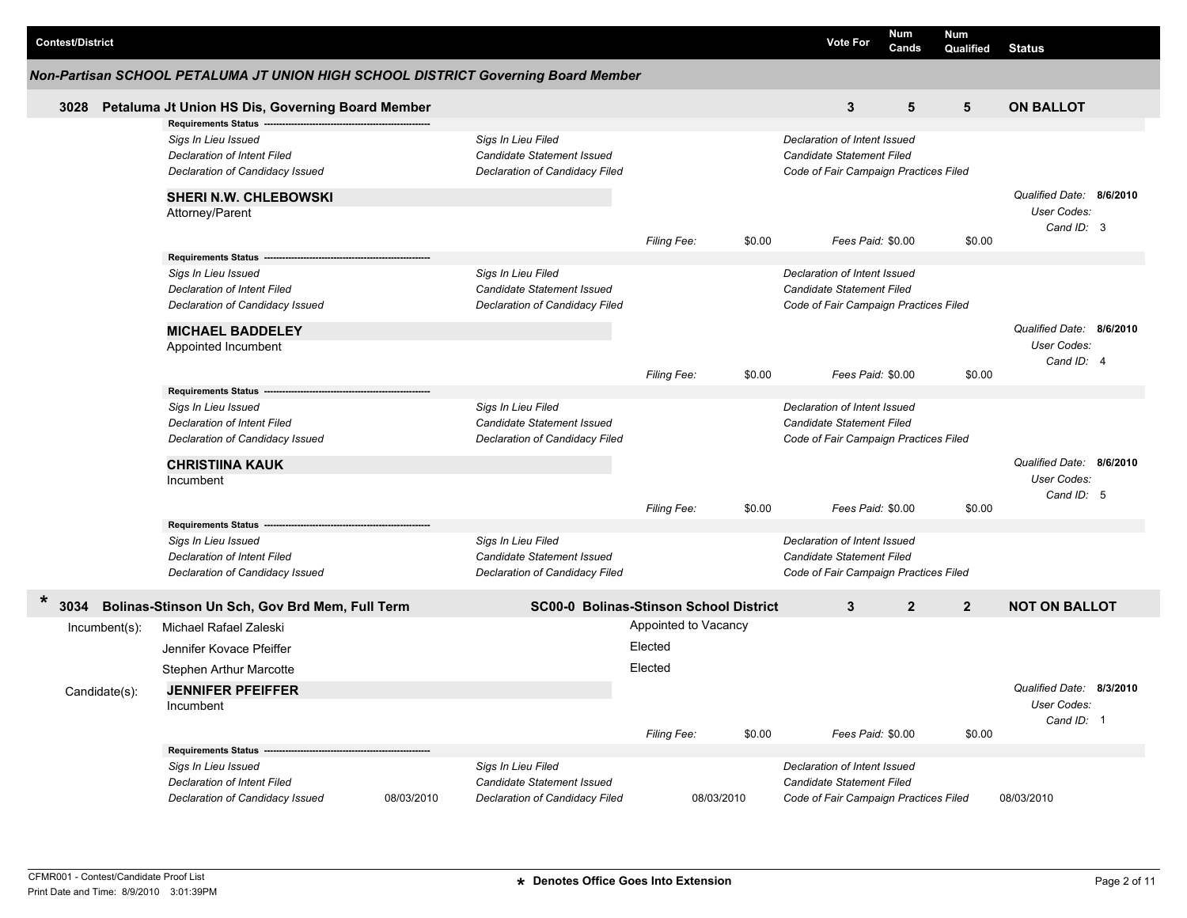| <b>Contest/District</b>        |                                                                                                                                                       |                                                                                                  |                                               |                      | <b>Vote For</b>                                                                                                         | Num<br>Cands | <b>Num</b><br>Qualified | <b>Status</b>                                         |  |
|--------------------------------|-------------------------------------------------------------------------------------------------------------------------------------------------------|--------------------------------------------------------------------------------------------------|-----------------------------------------------|----------------------|-------------------------------------------------------------------------------------------------------------------------|--------------|-------------------------|-------------------------------------------------------|--|
|                                |                                                                                                                                                       | Non-Partisan SCHOOL PETALUMA JT UNION HIGH SCHOOL DISTRICT Governing Board Member                |                                               |                      |                                                                                                                         |              |                         |                                                       |  |
| 3028                           | Petaluma Jt Union HS Dis, Governing Board Member<br><b>Requirements Status</b>                                                                        |                                                                                                  |                                               |                      | 3                                                                                                                       | 5            | 5                       | <b>ON BALLOT</b>                                      |  |
|                                | Sigs In Lieu Issued<br>Declaration of Intent Filed<br>Declaration of Candidacy Issued                                                                 | Sigs In Lieu Filed<br>Candidate Statement Issued<br><b>Declaration of Candidacy Filed</b>        |                                               |                      | Declaration of Intent Issued<br>Candidate Statement Filed<br>Code of Fair Campaign Practices Filed                      |              |                         |                                                       |  |
|                                | <b>SHERI N.W. CHLEBOWSKI</b><br>Attorney/Parent                                                                                                       |                                                                                                  | <b>Filing Fee:</b>                            | \$0.00               | Fees Paid: \$0.00                                                                                                       |              | \$0.00                  | Qualified Date: 8/6/2010<br>User Codes:<br>Cand ID: 3 |  |
|                                | <b>Requirements Status</b><br>Sigs In Lieu Issued<br><b>Declaration of Intent Filed</b><br>Declaration of Candidacy Issued<br><b>MICHAEL BADDELEY</b> | Sigs In Lieu Filed<br>Candidate Statement Issued<br>Declaration of Candidacy Filed               |                                               |                      | Declaration of Intent Issued<br>Candidate Statement Filed<br>Code of Fair Campaign Practices Filed                      |              |                         | Qualified Date: 8/6/2010                              |  |
|                                | Appointed Incumbent<br><b>Requirements Status</b>                                                                                                     |                                                                                                  | <b>Filing Fee:</b>                            | \$0.00               | Fees Paid: \$0.00                                                                                                       |              | \$0.00                  | User Codes:<br>Cand ID: 4                             |  |
|                                | Sigs In Lieu Issued<br>Declaration of Intent Filed<br>Declaration of Candidacy Issued                                                                 | Sigs In Lieu Filed<br>Candidate Statement Issued<br>Declaration of Candidacy Filed               |                                               |                      | Declaration of Intent Issued<br>Candidate Statement Filed<br>Code of Fair Campaign Practices Filed                      |              |                         |                                                       |  |
|                                | <b>CHRISTIINA KAUK</b><br>Incumbent                                                                                                                   |                                                                                                  | <b>Filing Fee:</b>                            | \$0.00               | Fees Paid: \$0.00                                                                                                       |              | \$0.00                  | Qualified Date: 8/6/2010<br>User Codes:<br>Cand ID: 5 |  |
|                                | <b>Requirements Status</b><br>Sigs In Lieu Issued<br>Declaration of Intent Filed<br>Declaration of Candidacy Issued                                   | Sigs In Lieu Filed<br><b>Candidate Statement Issued</b><br>Declaration of Candidacy Filed        |                                               |                      | Declaration of Intent Issued<br>Candidate Statement Filed<br>Code of Fair Campaign Practices Filed                      |              |                         |                                                       |  |
| $\ast$<br>3034                 | Bolinas-Stinson Un Sch, Gov Brd Mem, Full Term                                                                                                        |                                                                                                  | <b>SC00-0 Bolinas-Stinson School District</b> |                      | 3                                                                                                                       | $\mathbf{2}$ | $\overline{2}$          | <b>NOT ON BALLOT</b>                                  |  |
| Incumbent(s):<br>Candidate(s): | Michael Rafael Zaleski<br>Jennifer Kovace Pfeiffer<br><b>Stephen Arthur Marcotte</b><br><b>JENNIFER PFEIFFER</b><br>Incumbent                         |                                                                                                  | Appointed to Vacancy<br>Elected<br>Elected    |                      |                                                                                                                         |              |                         | Qualified Date: 8/3/2010<br>User Codes:<br>Cand ID: 1 |  |
|                                | <b>Requirements Status -</b><br>Sigs In Lieu Issued<br>Declaration of Intent Filed<br>Declaration of Candidacy Issued                                 | Sigs In Lieu Filed<br>Candidate Statement Issued<br>08/03/2010<br>Declaration of Candidacy Filed | Filing Fee:                                   | \$0.00<br>08/03/2010 | Fees Paid: \$0.00<br>Declaration of Intent Issued<br>Candidate Statement Filed<br>Code of Fair Campaign Practices Filed |              | \$0.00                  | 08/03/2010                                            |  |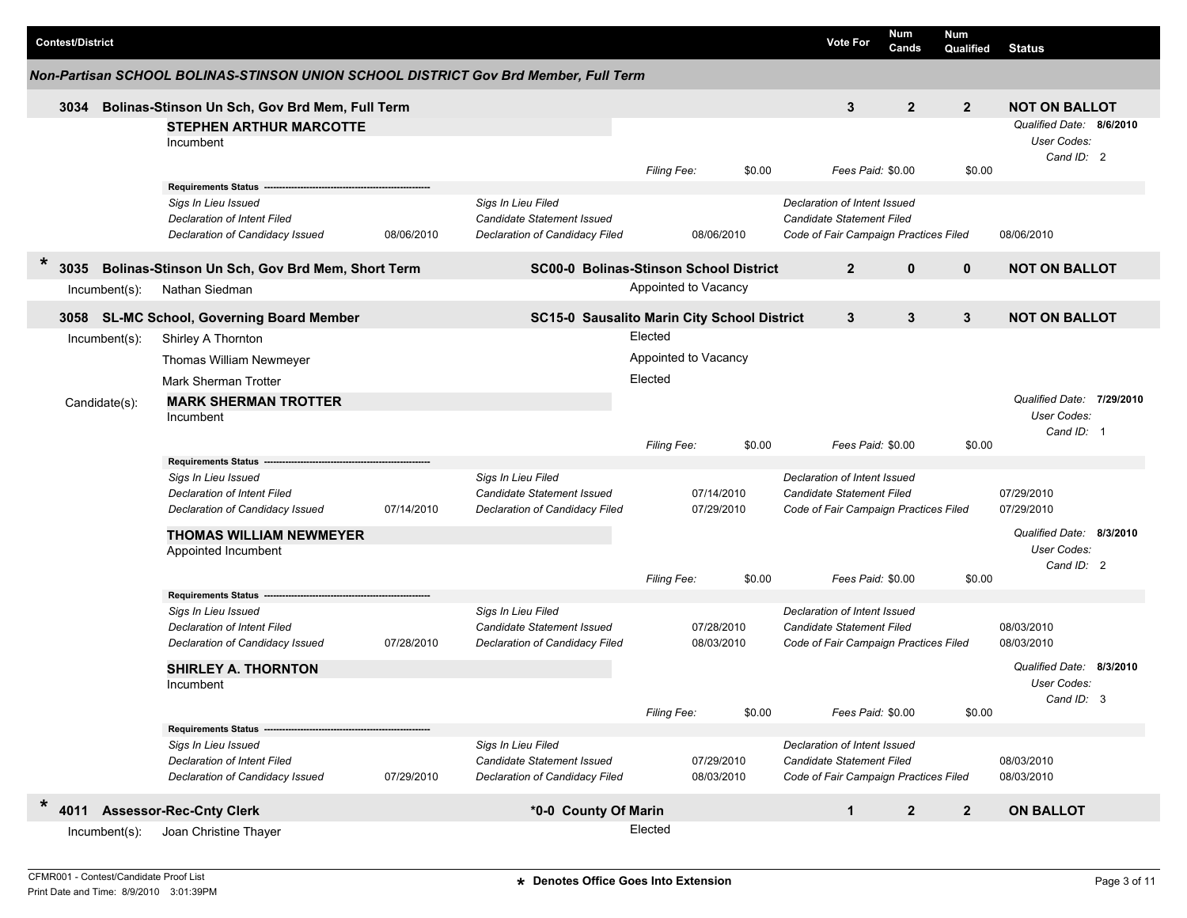|        | <b>Contest/District</b> |                  |                                                                                              |            |                                                                                           |                      |                          | <b>Vote For</b>                                                                                           | <b>Num</b><br>Cands | Num<br>Qualified | <b>Status</b>                                         |          |
|--------|-------------------------|------------------|----------------------------------------------------------------------------------------------|------------|-------------------------------------------------------------------------------------------|----------------------|--------------------------|-----------------------------------------------------------------------------------------------------------|---------------------|------------------|-------------------------------------------------------|----------|
|        |                         |                  | Non-Partisan SCHOOL BOLINAS-STINSON UNION SCHOOL DISTRICT Gov Brd Member, Full Term          |            |                                                                                           |                      |                          |                                                                                                           |                     |                  |                                                       |          |
|        | 3034                    |                  | Bolinas-Stinson Un Sch, Gov Brd Mem, Full Term                                               |            |                                                                                           |                      |                          | 3                                                                                                         | $\mathbf{2}$        | $\overline{2}$   | <b>NOT ON BALLOT</b>                                  |          |
|        |                         |                  | <b>STEPHEN ARTHUR MARCOTTE</b><br>Incumbent                                                  |            |                                                                                           |                      |                          |                                                                                                           |                     |                  | Qualified Date: 8/6/2010<br>User Codes:<br>Cand ID: 2 |          |
|        |                         |                  |                                                                                              |            |                                                                                           | Filing Fee:          | \$0.00                   | Fees Paid: \$0.00                                                                                         |                     | \$0.00           |                                                       |          |
|        |                         |                  | <b>Requirements Status</b>                                                                   |            |                                                                                           |                      |                          |                                                                                                           |                     |                  |                                                       |          |
|        |                         |                  | Sigs In Lieu Issued<br><b>Declaration of Intent Filed</b><br>Declaration of Candidacy Issued | 08/06/2010 | Sigs In Lieu Filed<br><b>Candidate Statement Issued</b><br>Declaration of Candidacy Filed |                      | 08/06/2010               | Declaration of Intent Issued<br><b>Candidate Statement Filed</b><br>Code of Fair Campaign Practices Filed |                     |                  | 08/06/2010                                            |          |
| $\ast$ | 3035                    |                  | Bolinas-Stinson Un Sch, Gov Brd Mem, Short Term                                              |            | <b>SC00-0 Bolinas-Stinson School District</b>                                             |                      |                          | $\overline{2}$                                                                                            | $\mathbf 0$         | $\mathbf{0}$     | <b>NOT ON BALLOT</b>                                  |          |
|        |                         | $Incumbent(s)$ : | Nathan Siedman                                                                               |            |                                                                                           | Appointed to Vacancy |                          |                                                                                                           |                     |                  |                                                       |          |
|        |                         |                  | 3058 SL-MC School, Governing Board Member                                                    |            | SC15-0 Sausalito Marin City School District                                               |                      |                          | 3                                                                                                         | 3                   | 3                | <b>NOT ON BALLOT</b>                                  |          |
|        |                         | $Incumbent(s)$ : | Shirley A Thornton                                                                           |            |                                                                                           | Elected              |                          |                                                                                                           |                     |                  |                                                       |          |
|        |                         |                  | Thomas William Newmeyer                                                                      |            |                                                                                           | Appointed to Vacancy |                          |                                                                                                           |                     |                  |                                                       |          |
|        |                         |                  | <b>Mark Sherman Trotter</b>                                                                  |            |                                                                                           | Elected              |                          |                                                                                                           |                     |                  |                                                       |          |
|        |                         | Candidate(s):    | <b>MARK SHERMAN TROTTER</b><br>Incumbent                                                     |            |                                                                                           |                      |                          |                                                                                                           |                     |                  | Qualified Date: 7/29/2010<br>User Codes:              |          |
|        |                         |                  |                                                                                              |            |                                                                                           | Filing Fee:          | \$0.00                   | Fees Paid: \$0.00                                                                                         |                     | \$0.00           | Cand ID: 1                                            |          |
|        |                         |                  | <b>Requirements Status</b>                                                                   |            |                                                                                           |                      |                          |                                                                                                           |                     |                  |                                                       |          |
|        |                         |                  | Sigs In Lieu Issued<br>Declaration of Intent Filed                                           |            | Sigs In Lieu Filed<br>Candidate Statement Issued                                          |                      | 07/14/2010               | Declaration of Intent Issued<br>Candidate Statement Filed                                                 |                     |                  | 07/29/2010                                            |          |
|        |                         |                  | Declaration of Candidacy Issued                                                              | 07/14/2010 | Declaration of Candidacy Filed                                                            |                      | 07/29/2010               | Code of Fair Campaign Practices Filed                                                                     |                     |                  | 07/29/2010                                            |          |
|        |                         |                  | <b>THOMAS WILLIAM NEWMEYER</b>                                                               |            |                                                                                           |                      |                          |                                                                                                           |                     |                  | Qualified Date: 8/3/2010                              |          |
|        |                         |                  | Appointed Incumbent                                                                          |            |                                                                                           |                      |                          |                                                                                                           |                     |                  | User Codes:<br>Cand ID: 2                             |          |
|        |                         |                  |                                                                                              |            |                                                                                           | <b>Filing Fee:</b>   | \$0.00                   | Fees Paid: \$0.00                                                                                         |                     | \$0.00           |                                                       |          |
|        |                         |                  | <b>Requirements Status</b>                                                                   |            |                                                                                           |                      |                          |                                                                                                           |                     |                  |                                                       |          |
|        |                         |                  | Sigs In Lieu Issued                                                                          |            | Sigs In Lieu Filed                                                                        |                      |                          | Declaration of Intent Issued                                                                              |                     |                  |                                                       |          |
|        |                         |                  | <b>Declaration of Intent Filed</b><br>Declaration of Candidacy Issued                        | 07/28/2010 | Candidate Statement Issued<br>Declaration of Candidacy Filed                              |                      | 07/28/2010<br>08/03/2010 | <b>Candidate Statement Filed</b><br>Code of Fair Campaign Practices Filed                                 |                     |                  | 08/03/2010<br>08/03/2010                              |          |
|        |                         |                  | <b>SHIRLEY A. THORNTON</b>                                                                   |            |                                                                                           |                      |                          |                                                                                                           |                     |                  | Qualified Date:                                       | 8/3/2010 |
|        |                         |                  | Incumbent                                                                                    |            |                                                                                           |                      |                          |                                                                                                           |                     |                  | User Codes:<br>Cand ID: 3                             |          |
|        |                         |                  |                                                                                              |            |                                                                                           | Filing Fee:          | \$0.00                   | Fees Paid: \$0.00                                                                                         |                     | \$0.00           |                                                       |          |
|        |                         |                  | <b>Requirements Status</b>                                                                   |            |                                                                                           |                      |                          |                                                                                                           |                     |                  |                                                       |          |
|        |                         |                  | Sigs In Lieu Issued                                                                          |            | Sigs In Lieu Filed                                                                        |                      |                          | Declaration of Intent Issued                                                                              |                     |                  |                                                       |          |
|        |                         |                  | Declaration of Intent Filed<br>Declaration of Candidacy Issued                               | 07/29/2010 | Candidate Statement Issued<br>Declaration of Candidacy Filed                              |                      | 07/29/2010<br>08/03/2010 | Candidate Statement Filed<br>Code of Fair Campaign Practices Filed                                        |                     |                  | 08/03/2010<br>08/03/2010                              |          |
| $\ast$ | 4011                    |                  | <b>Assessor-Rec-Cnty Clerk</b>                                                               |            | *0-0 County Of Marin                                                                      |                      |                          | $\mathbf{1}$                                                                                              | $\mathbf{2}$        | $\overline{2}$   | <b>ON BALLOT</b>                                      |          |
|        |                         | Incumbent(s):    | Joan Christine Thayer                                                                        |            |                                                                                           | Elected              |                          |                                                                                                           |                     |                  |                                                       |          |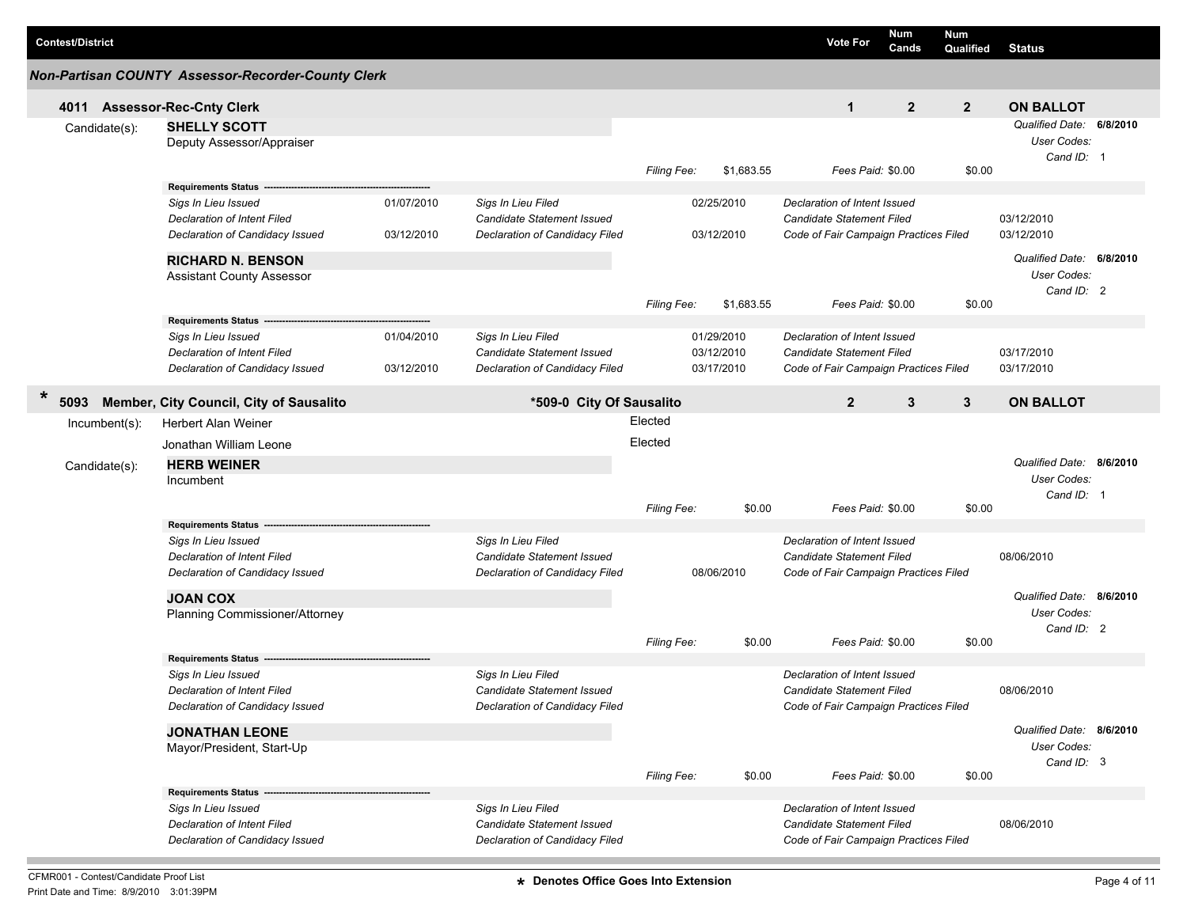| <b>Contest/District</b> |                                                                       |            |                                                              |                    |            | <b>Vote For</b>                                                           | <b>Num</b><br>Cands | <b>Num</b><br>Qualified | <b>Status</b>                                         |  |
|-------------------------|-----------------------------------------------------------------------|------------|--------------------------------------------------------------|--------------------|------------|---------------------------------------------------------------------------|---------------------|-------------------------|-------------------------------------------------------|--|
|                         | <b>Non-Partisan COUNTY Assessor-Recorder-County Clerk</b>             |            |                                                              |                    |            |                                                                           |                     |                         |                                                       |  |
|                         | 4011 Assessor-Rec-Cnty Clerk                                          |            |                                                              |                    |            | $\mathbf{1}$                                                              | $\mathbf{2}$        | $\overline{2}$          | <b>ON BALLOT</b>                                      |  |
| Candidate(s):           | <b>SHELLY SCOTT</b><br>Deputy Assessor/Appraiser                      |            |                                                              |                    |            |                                                                           |                     |                         | Qualified Date: 6/8/2010<br>User Codes:<br>Cand ID: 1 |  |
|                         |                                                                       |            |                                                              | Filing Fee:        | \$1,683.55 | Fees Paid: \$0.00                                                         |                     | \$0.00                  |                                                       |  |
|                         | <b>Requirements Status</b>                                            |            |                                                              |                    |            |                                                                           |                     |                         |                                                       |  |
|                         | Sigs In Lieu Issued                                                   | 01/07/2010 | Sigs In Lieu Filed                                           |                    | 02/25/2010 | Declaration of Intent Issued                                              |                     |                         |                                                       |  |
|                         | <b>Declaration of Intent Filed</b>                                    |            | Candidate Statement Issued                                   |                    |            | Candidate Statement Filed                                                 |                     |                         | 03/12/2010                                            |  |
|                         | Declaration of Candidacy Issued                                       | 03/12/2010 | Declaration of Candidacy Filed                               |                    | 03/12/2010 | Code of Fair Campaign Practices Filed                                     |                     |                         | 03/12/2010                                            |  |
|                         | <b>RICHARD N. BENSON</b>                                              |            |                                                              |                    |            |                                                                           |                     |                         | Qualified Date: 6/8/2010                              |  |
|                         | <b>Assistant County Assessor</b>                                      |            |                                                              |                    |            |                                                                           |                     |                         | User Codes:                                           |  |
|                         |                                                                       |            |                                                              |                    |            | Fees Paid: \$0.00                                                         |                     |                         | Cand ID: 2                                            |  |
|                         | <b>Requirements Status</b>                                            |            |                                                              | <b>Filing Fee:</b> | \$1,683.55 |                                                                           |                     | \$0.00                  |                                                       |  |
|                         | Sigs In Lieu Issued                                                   | 01/04/2010 | Sigs In Lieu Filed                                           |                    | 01/29/2010 | Declaration of Intent Issued                                              |                     |                         |                                                       |  |
|                         | Declaration of Intent Filed                                           |            | Candidate Statement Issued                                   |                    | 03/12/2010 | Candidate Statement Filed                                                 |                     |                         | 03/17/2010                                            |  |
|                         | Declaration of Candidacy Issued                                       | 03/12/2010 | Declaration of Candidacy Filed                               |                    | 03/17/2010 | Code of Fair Campaign Practices Filed                                     |                     |                         | 03/17/2010                                            |  |
|                         |                                                                       |            |                                                              |                    |            |                                                                           |                     |                         |                                                       |  |
| $\ast$<br>5093          | Member, City Council, City of Sausalito                               |            | *509-0 City Of Sausalito                                     |                    |            | $\overline{2}$                                                            | 3                   | 3                       | <b>ON BALLOT</b>                                      |  |
| Incumbent(s):           | <b>Herbert Alan Weiner</b>                                            |            |                                                              | Elected            |            |                                                                           |                     |                         |                                                       |  |
|                         | Jonathan William Leone                                                |            |                                                              | Elected            |            |                                                                           |                     |                         |                                                       |  |
| Candidate(s):           | <b>HERB WEINER</b>                                                    |            |                                                              |                    |            |                                                                           |                     |                         | Qualified Date: 8/6/2010                              |  |
|                         | Incumbent                                                             |            |                                                              |                    |            |                                                                           |                     |                         | User Codes:                                           |  |
|                         |                                                                       |            |                                                              |                    |            |                                                                           |                     |                         | Cand ID: 1                                            |  |
|                         |                                                                       |            |                                                              | Filing Fee:        | \$0.00     | Fees Paid: \$0.00                                                         |                     | \$0.00                  |                                                       |  |
|                         | <b>Requirements Status</b>                                            |            |                                                              |                    |            |                                                                           |                     |                         |                                                       |  |
|                         | Sigs In Lieu Issued                                                   |            | Sigs In Lieu Filed                                           |                    |            | Declaration of Intent Issued                                              |                     |                         |                                                       |  |
|                         | <b>Declaration of Intent Filed</b><br>Declaration of Candidacy Issued |            | Candidate Statement Issued<br>Declaration of Candidacy Filed |                    | 08/06/2010 | <b>Candidate Statement Filed</b><br>Code of Fair Campaign Practices Filed |                     |                         | 08/06/2010                                            |  |
|                         |                                                                       |            |                                                              |                    |            |                                                                           |                     |                         |                                                       |  |
|                         | <b>JOAN COX</b>                                                       |            |                                                              |                    |            |                                                                           |                     |                         | Qualified Date: 8/6/2010                              |  |
|                         | Planning Commissioner/Attorney                                        |            |                                                              |                    |            |                                                                           |                     |                         | User Codes:                                           |  |
|                         |                                                                       |            |                                                              | <b>Filing Fee:</b> | \$0.00     | Fees Paid: \$0.00                                                         |                     | \$0.00                  | Cand ID: 2                                            |  |
|                         | <b>Requirements Status</b>                                            |            |                                                              |                    |            |                                                                           |                     |                         |                                                       |  |
|                         | Sigs In Lieu Issued                                                   |            | Sigs In Lieu Filed                                           |                    |            | Declaration of Intent Issued                                              |                     |                         |                                                       |  |
|                         | Declaration of Intent Filed                                           |            | Candidate Statement Issued                                   |                    |            | Candidate Statement Filed                                                 |                     |                         | 08/06/2010                                            |  |
|                         | Declaration of Candidacy Issued                                       |            | Declaration of Candidacy Filed                               |                    |            | Code of Fair Campaign Practices Filed                                     |                     |                         |                                                       |  |
|                         | <b>JONATHAN LEONE</b>                                                 |            |                                                              |                    |            |                                                                           |                     |                         | Qualified Date: 8/6/2010                              |  |
|                         | Mayor/President, Start-Up                                             |            |                                                              |                    |            |                                                                           |                     |                         | User Codes:                                           |  |
|                         |                                                                       |            |                                                              |                    |            |                                                                           |                     |                         | Cand ID: 3                                            |  |
|                         |                                                                       |            |                                                              | <b>Filing Fee:</b> | \$0.00     | Fees Paid: \$0.00                                                         |                     | \$0.00                  |                                                       |  |
|                         | Requirements Status --------                                          |            |                                                              |                    |            |                                                                           |                     |                         |                                                       |  |
|                         | Sigs In Lieu Issued                                                   |            | Sigs In Lieu Filed                                           |                    |            | Declaration of Intent Issued                                              |                     |                         |                                                       |  |
|                         | <b>Declaration of Intent Filed</b>                                    |            | Candidate Statement Issued                                   |                    |            | Candidate Statement Filed                                                 |                     |                         | 08/06/2010                                            |  |
|                         | Declaration of Candidacy Issued                                       |            | Declaration of Candidacy Filed                               |                    |            | Code of Fair Campaign Practices Filed                                     |                     |                         |                                                       |  |

**The State**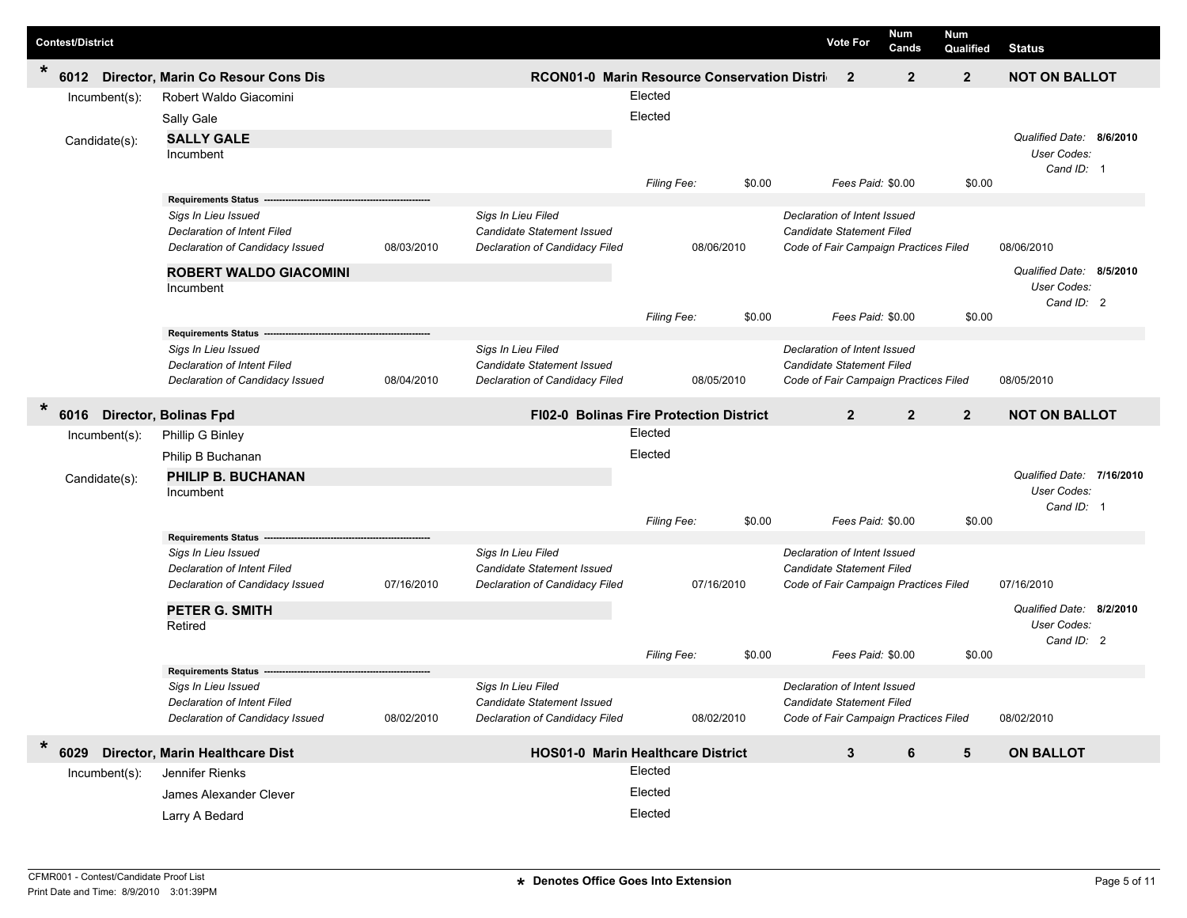| <b>Contest/District</b>              |                                                                       |            |                                                                     |                                                |        | Num<br><b>Vote For</b><br>Cands                                    | Num<br>Qualified | <b>Status</b>             |  |
|--------------------------------------|-----------------------------------------------------------------------|------------|---------------------------------------------------------------------|------------------------------------------------|--------|--------------------------------------------------------------------|------------------|---------------------------|--|
| $\star$<br>6012                      | Director, Marin Co Resour Cons Dis                                    |            |                                                                     | RCON01-0 Marin Resource Conservation Distri    |        | $\overline{2}$<br>$\overline{2}$                                   | $\overline{2}$   | <b>NOT ON BALLOT</b>      |  |
| Incumbent(s):                        | Robert Waldo Giacomini                                                |            |                                                                     | Elected                                        |        |                                                                    |                  |                           |  |
|                                      | Sally Gale                                                            |            |                                                                     | Elected                                        |        |                                                                    |                  |                           |  |
| Candidate(s):                        | <b>SALLY GALE</b>                                                     |            |                                                                     |                                                |        |                                                                    |                  | Qualified Date: 8/6/2010  |  |
|                                      | Incumbent                                                             |            |                                                                     |                                                |        |                                                                    |                  | User Codes:               |  |
|                                      |                                                                       |            |                                                                     | Filing Fee:                                    | \$0.00 | Fees Paid: \$0.00                                                  | \$0.00           | Cand ID: 1                |  |
|                                      | <b>Requirements Status</b>                                            |            |                                                                     |                                                |        |                                                                    |                  |                           |  |
|                                      | Sigs In Lieu Issued                                                   |            | Sigs In Lieu Filed                                                  |                                                |        | Declaration of Intent Issued                                       |                  |                           |  |
|                                      | <b>Declaration of Intent Filed</b>                                    |            | Candidate Statement Issued                                          |                                                |        | Candidate Statement Filed                                          |                  |                           |  |
|                                      | Declaration of Candidacy Issued                                       | 08/03/2010 | Declaration of Candidacy Filed                                      | 08/06/2010                                     |        | Code of Fair Campaign Practices Filed                              |                  | 08/06/2010                |  |
|                                      | <b>ROBERT WALDO GIACOMINI</b>                                         |            |                                                                     |                                                |        |                                                                    |                  | Qualified Date: 8/5/2010  |  |
|                                      | Incumbent                                                             |            |                                                                     |                                                |        |                                                                    |                  | User Codes:<br>Cand ID: 2 |  |
|                                      |                                                                       |            |                                                                     | Filing Fee:                                    | \$0.00 | Fees Paid: \$0.00                                                  | \$0.00           |                           |  |
|                                      | <b>Requirements Status</b>                                            |            |                                                                     |                                                |        |                                                                    |                  |                           |  |
|                                      | Sigs In Lieu Issued                                                   |            | Sigs In Lieu Filed                                                  |                                                |        | Declaration of Intent Issued                                       |                  |                           |  |
|                                      | <b>Declaration of Intent Filed</b><br>Declaration of Candidacy Issued | 08/04/2010 | Candidate Statement Issued<br>Declaration of Candidacy Filed        | 08/05/2010                                     |        | Candidate Statement Filed<br>Code of Fair Campaign Practices Filed |                  | 08/05/2010                |  |
|                                      |                                                                       |            |                                                                     |                                                |        |                                                                    |                  |                           |  |
| $\ast$<br>6016 Director, Bolinas Fpd |                                                                       |            |                                                                     | <b>FI02-0 Bolinas Fire Protection District</b> |        | $\overline{2}$<br>$\overline{2}$                                   | $\overline{2}$   | <b>NOT ON BALLOT</b>      |  |
| $Incumbent(s)$ :                     | Phillip G Binley                                                      |            |                                                                     | Elected                                        |        |                                                                    |                  |                           |  |
|                                      | Philip B Buchanan                                                     |            |                                                                     | Elected                                        |        |                                                                    |                  |                           |  |
| Candidate(s):                        | PHILIP B. BUCHANAN                                                    |            |                                                                     |                                                |        |                                                                    |                  | Qualified Date: 7/16/2010 |  |
|                                      | Incumbent                                                             |            |                                                                     |                                                |        |                                                                    |                  | User Codes:               |  |
|                                      |                                                                       |            |                                                                     | Filing Fee:                                    | \$0.00 | Fees Paid: \$0.00                                                  | \$0.00           | Cand ID: 1                |  |
|                                      | <b>Requirements Status</b>                                            |            |                                                                     |                                                |        |                                                                    |                  |                           |  |
|                                      | Sigs In Lieu Issued                                                   |            | Sigs In Lieu Filed                                                  |                                                |        | Declaration of Intent Issued                                       |                  |                           |  |
|                                      | <b>Declaration of Intent Filed</b>                                    |            | Candidate Statement Issued                                          |                                                |        | Candidate Statement Filed                                          |                  |                           |  |
|                                      | Declaration of Candidacy Issued                                       | 07/16/2010 | Declaration of Candidacy Filed                                      | 07/16/2010                                     |        | Code of Fair Campaign Practices Filed                              |                  | 07/16/2010                |  |
|                                      | <b>PETER G. SMITH</b>                                                 |            |                                                                     |                                                |        |                                                                    |                  | Qualified Date: 8/2/2010  |  |
|                                      | Retired                                                               |            |                                                                     |                                                |        |                                                                    |                  | User Codes:<br>Cand ID: 2 |  |
|                                      |                                                                       |            |                                                                     | Filing Fee:                                    | \$0.00 | Fees Paid: \$0.00                                                  | \$0.00           |                           |  |
|                                      | <b>Requirements Status</b>                                            |            |                                                                     |                                                |        |                                                                    |                  |                           |  |
|                                      | Sigs In Lieu Issued                                                   |            | Sigs In Lieu Filed                                                  |                                                |        | Declaration of Intent Issued                                       |                  |                           |  |
|                                      | Declaration of Intent Filed                                           | 08/02/2010 | Candidate Statement Issued<br><b>Declaration of Candidacy Filed</b> |                                                |        | Candidate Statement Filed<br>Code of Fair Campaign Practices Filed |                  |                           |  |
|                                      | Declaration of Candidacy Issued                                       |            |                                                                     | 08/02/2010                                     |        |                                                                    |                  | 08/02/2010                |  |
| $\ast$<br>6029                       | Director, Marin Healthcare Dist                                       |            |                                                                     | <b>HOS01-0 Marin Healthcare District</b>       |        | 3<br>6                                                             | 5                | <b>ON BALLOT</b>          |  |
| Incumbent(s):                        | Jennifer Rienks                                                       |            |                                                                     | Elected                                        |        |                                                                    |                  |                           |  |
|                                      | James Alexander Clever                                                |            |                                                                     | Elected                                        |        |                                                                    |                  |                           |  |
|                                      | Larry A Bedard                                                        |            |                                                                     | Elected                                        |        |                                                                    |                  |                           |  |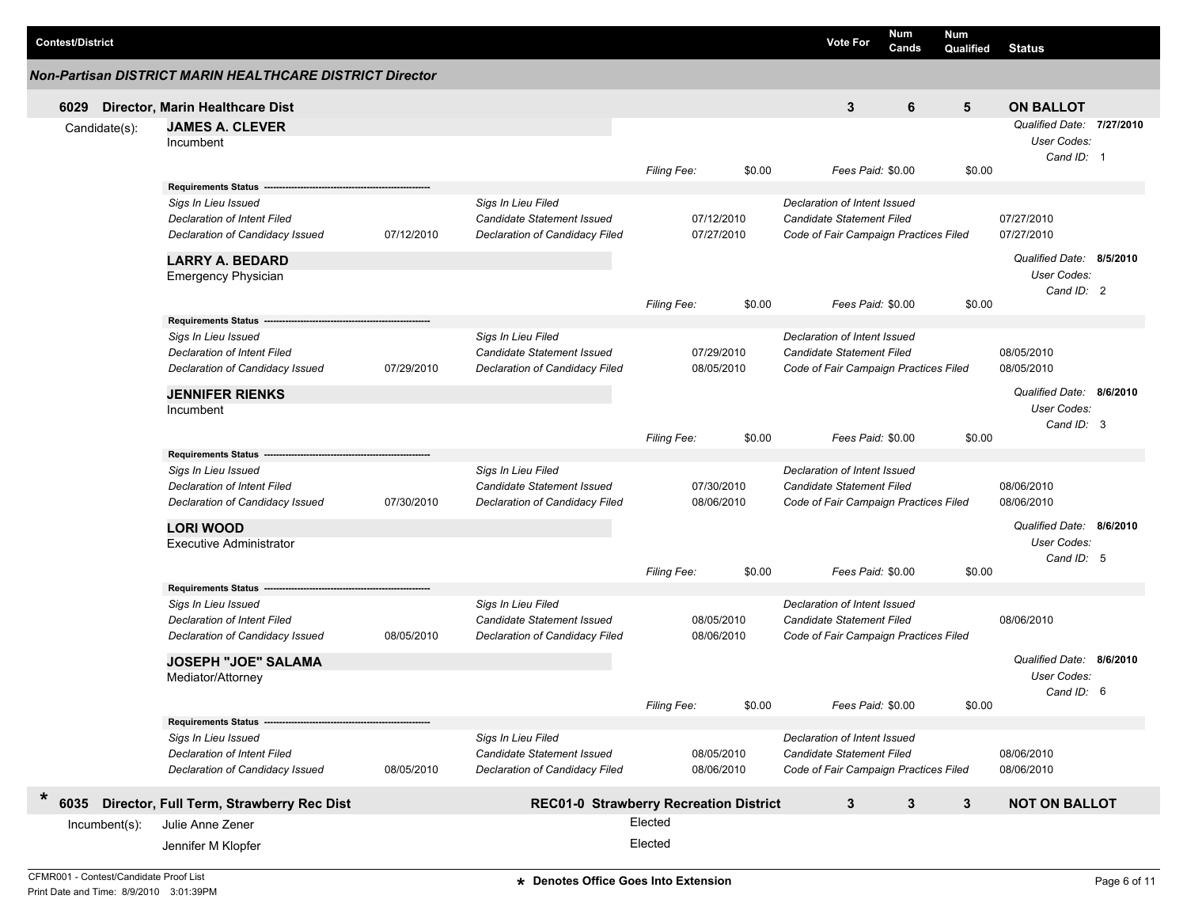|        | <b>Contest/District</b> |                                                          |            |                                                         |                    |            | <b>Vote For</b>                                           | <b>Num</b><br>Cands | Num<br>Qualified | <b>Status</b>             |  |
|--------|-------------------------|----------------------------------------------------------|------------|---------------------------------------------------------|--------------------|------------|-----------------------------------------------------------|---------------------|------------------|---------------------------|--|
|        |                         | Non-Partisan DISTRICT MARIN HEALTHCARE DISTRICT Director |            |                                                         |                    |            |                                                           |                     |                  |                           |  |
|        | 6029                    | Director, Marin Healthcare Dist                          |            |                                                         |                    |            | 3                                                         | 6                   | 5                | <b>ON BALLOT</b>          |  |
|        | Candidate(s):           | <b>JAMES A. CLEVER</b>                                   |            |                                                         |                    |            |                                                           |                     |                  | Qualified Date: 7/27/2010 |  |
|        |                         | Incumbent                                                |            |                                                         |                    |            |                                                           |                     |                  | User Codes:               |  |
|        |                         |                                                          |            |                                                         |                    |            |                                                           |                     |                  | Cand ID: 1                |  |
|        |                         |                                                          |            |                                                         | <b>Filing Fee:</b> | \$0.00     | Fees Paid: \$0.00                                         |                     | \$0.00           |                           |  |
|        |                         | Requirements Status --                                   |            |                                                         |                    |            |                                                           |                     |                  |                           |  |
|        |                         | Sigs In Lieu Issued                                      |            | Sigs In Lieu Filed                                      |                    |            | Declaration of Intent Issued                              |                     |                  |                           |  |
|        |                         | <b>Declaration of Intent Filed</b>                       |            | Candidate Statement Issued                              |                    | 07/12/2010 | Candidate Statement Filed                                 |                     |                  | 07/27/2010                |  |
|        |                         | Declaration of Candidacy Issued                          | 07/12/2010 | Declaration of Candidacy Filed                          |                    | 07/27/2010 | Code of Fair Campaign Practices Filed                     |                     |                  | 07/27/2010                |  |
|        |                         | <b>LARRY A. BEDARD</b>                                   |            |                                                         |                    |            |                                                           |                     |                  | Qualified Date: 8/5/2010  |  |
|        |                         | <b>Emergency Physician</b>                               |            |                                                         |                    |            |                                                           |                     |                  | User Codes:               |  |
|        |                         |                                                          |            |                                                         |                    |            |                                                           |                     |                  | Cand ID: 2                |  |
|        |                         |                                                          |            |                                                         | <b>Filing Fee:</b> | \$0.00     | Fees Paid: \$0.00                                         |                     | \$0.00           |                           |  |
|        |                         | Requirements Status --                                   |            |                                                         |                    |            |                                                           |                     |                  |                           |  |
|        |                         | Sigs In Lieu Issued                                      |            | Sigs In Lieu Filed<br><b>Candidate Statement Issued</b> |                    | 07/29/2010 | Declaration of Intent Issued<br>Candidate Statement Filed |                     |                  | 08/05/2010                |  |
|        |                         | Declaration of Intent Filed                              | 07/29/2010 | Declaration of Candidacy Filed                          |                    | 08/05/2010 |                                                           |                     |                  | 08/05/2010                |  |
|        |                         | Declaration of Candidacy Issued                          |            |                                                         |                    |            | Code of Fair Campaign Practices Filed                     |                     |                  |                           |  |
|        |                         | <b>JENNIFER RIENKS</b>                                   |            |                                                         |                    |            |                                                           |                     |                  | Qualified Date: 8/6/2010  |  |
|        |                         | Incumbent                                                |            |                                                         |                    |            |                                                           |                     |                  | User Codes:               |  |
|        |                         |                                                          |            |                                                         |                    |            |                                                           |                     |                  | Cand ID: 3                |  |
|        |                         |                                                          |            |                                                         | <b>Filing Fee:</b> | \$0.00     | Fees Paid: \$0.00                                         |                     | \$0.00           |                           |  |
|        |                         | Requirements Status --                                   |            | Sigs In Lieu Filed                                      |                    |            | Declaration of Intent Issued                              |                     |                  |                           |  |
|        |                         | Sigs In Lieu Issued<br>Declaration of Intent Filed       |            | Candidate Statement Issued                              |                    | 07/30/2010 | Candidate Statement Filed                                 |                     |                  | 08/06/2010                |  |
|        |                         | Declaration of Candidacy Issued                          | 07/30/2010 | Declaration of Candidacy Filed                          |                    | 08/06/2010 | Code of Fair Campaign Practices Filed                     |                     |                  | 08/06/2010                |  |
|        |                         |                                                          |            |                                                         |                    |            |                                                           |                     |                  |                           |  |
|        |                         | <b>LORI WOOD</b>                                         |            |                                                         |                    |            |                                                           |                     |                  | Qualified Date: 8/6/2010  |  |
|        |                         | <b>Executive Administrator</b>                           |            |                                                         |                    |            |                                                           |                     |                  | User Codes:               |  |
|        |                         |                                                          |            |                                                         |                    |            |                                                           |                     |                  | Cand ID: 5                |  |
|        |                         |                                                          |            |                                                         | Filing Fee:        | \$0.00     | Fees Paid: \$0.00                                         |                     | \$0.00           |                           |  |
|        |                         | Requirements Status ----<br>Sigs In Lieu Issued          |            | Sigs In Lieu Filed                                      |                    |            | Declaration of Intent Issued                              |                     |                  |                           |  |
|        |                         | Declaration of Intent Filed                              |            | Candidate Statement Issued                              |                    | 08/05/2010 | Candidate Statement Filed                                 |                     |                  | 08/06/2010                |  |
|        |                         | Declaration of Candidacy Issued                          | 08/05/2010 | Declaration of Candidacy Filed                          |                    | 08/06/2010 | Code of Fair Campaign Practices Filed                     |                     |                  |                           |  |
|        |                         |                                                          |            |                                                         |                    |            |                                                           |                     |                  |                           |  |
|        |                         | <b>JOSEPH "JOE" SALAMA</b>                               |            |                                                         |                    |            |                                                           |                     |                  | Qualified Date: 8/6/2010  |  |
|        |                         | Mediator/Attorney                                        |            |                                                         |                    |            |                                                           |                     |                  | User Codes:               |  |
|        |                         |                                                          |            |                                                         | Filing Fee:        | \$0.00     | Fees Paid: \$0.00                                         |                     | \$0.00           | Cand ID: 6                |  |
|        |                         | Requirements Status --                                   |            |                                                         |                    |            |                                                           |                     |                  |                           |  |
|        |                         | Sigs In Lieu Issued                                      |            | Sigs In Lieu Filed                                      |                    |            | Declaration of Intent Issued                              |                     |                  |                           |  |
|        |                         | Declaration of Intent Filed                              |            | Candidate Statement Issued                              |                    | 08/05/2010 | Candidate Statement Filed                                 |                     |                  | 08/06/2010                |  |
|        |                         | Declaration of Candidacy Issued                          | 08/05/2010 | Declaration of Candidacy Filed                          |                    | 08/06/2010 | Code of Fair Campaign Practices Filed                     |                     |                  | 08/06/2010                |  |
|        |                         |                                                          |            |                                                         |                    |            |                                                           |                     |                  |                           |  |
| $\ast$ | 6035                    | Director, Full Term, Strawberry Rec Dist                 |            | <b>REC01-0 Strawberry Recreation District</b>           |                    |            | 3                                                         | 3                   | $\mathbf{3}$     | <b>NOT ON BALLOT</b>      |  |
|        | $Incumbent(s)$ :        | Julie Anne Zener                                         |            |                                                         | Elected            |            |                                                           |                     |                  |                           |  |
|        |                         | Jennifer M Klopfer                                       |            |                                                         | Elected            |            |                                                           |                     |                  |                           |  |
|        |                         |                                                          |            |                                                         |                    |            |                                                           |                     |                  |                           |  |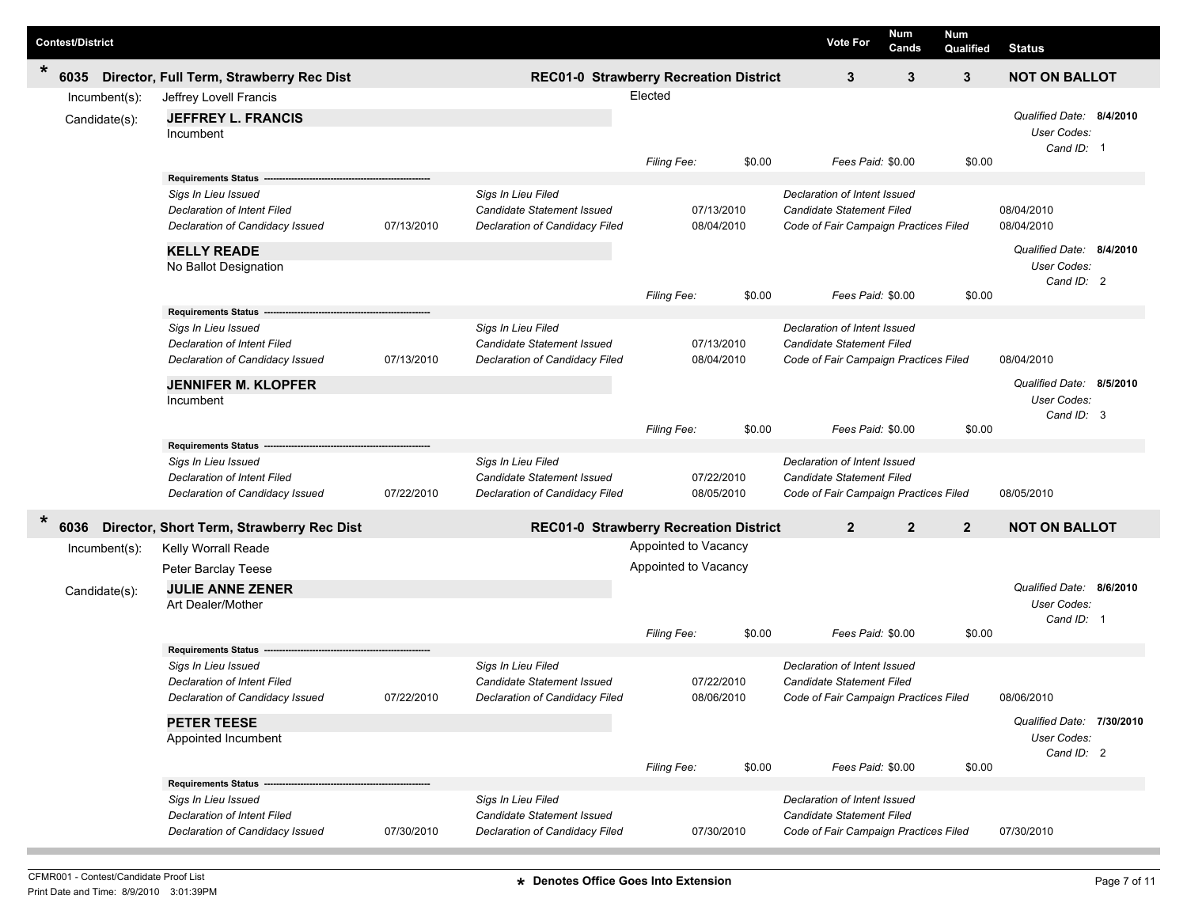| <b>Contest/District</b> |                                                                       |            |                                                                     |                      |                          | <b>Vote For</b>                                                    | <b>Num</b><br>Cands | Num<br>Qualified | <b>Status</b>                            |  |
|-------------------------|-----------------------------------------------------------------------|------------|---------------------------------------------------------------------|----------------------|--------------------------|--------------------------------------------------------------------|---------------------|------------------|------------------------------------------|--|
| $\ast$<br>6035          | Director, Full Term, Strawberry Rec Dist                              |            | REC01-0 Strawberry Recreation District                              |                      |                          | 3                                                                  | 3                   | $\mathbf{3}$     | <b>NOT ON BALLOT</b>                     |  |
| Incumbent(s):           | Jeffrey Lovell Francis                                                |            |                                                                     | Elected              |                          |                                                                    |                     |                  |                                          |  |
| Candidate(s):           | <b>JEFFREY L. FRANCIS</b>                                             |            |                                                                     |                      |                          |                                                                    |                     |                  | Qualified Date: 8/4/2010                 |  |
|                         | Incumbent                                                             |            |                                                                     |                      |                          |                                                                    |                     |                  | User Codes:<br>Cand ID: 1                |  |
|                         |                                                                       |            |                                                                     | Filing Fee:          | \$0.00                   | Fees Paid: \$0.00                                                  |                     | \$0.00           |                                          |  |
|                         | Requirements Status --                                                |            |                                                                     |                      |                          |                                                                    |                     |                  |                                          |  |
|                         | Sigs In Lieu Issued                                                   |            | Sigs In Lieu Filed<br>Candidate Statement Issued                    |                      | 07/13/2010               | Declaration of Intent Issued<br>Candidate Statement Filed          |                     |                  | 08/04/2010                               |  |
|                         | Declaration of Intent Filed<br>Declaration of Candidacy Issued        | 07/13/2010 | Declaration of Candidacy Filed                                      |                      | 08/04/2010               | Code of Fair Campaign Practices Filed                              |                     |                  | 08/04/2010                               |  |
|                         |                                                                       |            |                                                                     |                      |                          |                                                                    |                     |                  | Qualified Date: 8/4/2010                 |  |
|                         | <b>KELLY READE</b><br>No Ballot Designation                           |            |                                                                     |                      |                          |                                                                    |                     |                  | User Codes:                              |  |
|                         |                                                                       |            |                                                                     |                      |                          |                                                                    |                     |                  | Cand ID: 2                               |  |
|                         |                                                                       |            |                                                                     | Filing Fee:          | \$0.00                   | Fees Paid: \$0.00                                                  |                     | \$0.00           |                                          |  |
|                         | Requirements Status --<br>Sigs In Lieu Issued                         |            | Sigs In Lieu Filed                                                  |                      |                          | Declaration of Intent Issued                                       |                     |                  |                                          |  |
|                         | Declaration of Intent Filed                                           |            | <b>Candidate Statement Issued</b>                                   |                      | 07/13/2010               | Candidate Statement Filed                                          |                     |                  |                                          |  |
|                         | Declaration of Candidacy Issued                                       | 07/13/2010 | Declaration of Candidacy Filed                                      |                      | 08/04/2010               | Code of Fair Campaign Practices Filed                              |                     |                  | 08/04/2010                               |  |
|                         | <b>JENNIFER M. KLOPFER</b>                                            |            |                                                                     |                      |                          |                                                                    |                     |                  | Qualified Date: 8/5/2010                 |  |
|                         | Incumbent                                                             |            |                                                                     |                      |                          |                                                                    |                     |                  | User Codes:                              |  |
|                         |                                                                       |            |                                                                     | Filing Fee:          | \$0.00                   | Fees Paid: \$0.00                                                  |                     | \$0.00           | Cand ID: 3                               |  |
|                         | <b>Requirements Status</b>                                            |            |                                                                     |                      |                          |                                                                    |                     |                  |                                          |  |
|                         | Sigs In Lieu Issued                                                   |            | Sigs In Lieu Filed                                                  |                      |                          | Declaration of Intent Issued                                       |                     |                  |                                          |  |
|                         | Declaration of Intent Filed                                           |            | Candidate Statement Issued                                          |                      | 07/22/2010               | Candidate Statement Filed                                          |                     |                  |                                          |  |
|                         | Declaration of Candidacy Issued                                       | 07/22/2010 | Declaration of Candidacy Filed                                      |                      | 08/05/2010               | Code of Fair Campaign Practices Filed                              |                     |                  | 08/05/2010                               |  |
| *<br>6036               | Director, Short Term, Strawberry Rec Dist                             |            | <b>REC01-0 Strawberry Recreation District</b>                       |                      |                          | $\overline{2}$                                                     | $\overline{2}$      | $\overline{2}$   | <b>NOT ON BALLOT</b>                     |  |
| Incumbent(s):           | Kelly Worrall Reade                                                   |            |                                                                     | Appointed to Vacancy |                          |                                                                    |                     |                  |                                          |  |
|                         | Peter Barclay Teese                                                   |            |                                                                     | Appointed to Vacancy |                          |                                                                    |                     |                  |                                          |  |
| Candidate(s):           | <b>JULIE ANNE ZENER</b>                                               |            |                                                                     |                      |                          |                                                                    |                     |                  | Qualified Date: 8/6/2010                 |  |
|                         | Art Dealer/Mother                                                     |            |                                                                     |                      |                          |                                                                    |                     |                  | User Codes:<br>Cand ID: 1                |  |
|                         |                                                                       |            |                                                                     | Filing Fee:          | \$0.00                   | Fees Paid: \$0.00                                                  |                     | \$0.00           |                                          |  |
|                         | <b>Requirements Status</b>                                            |            |                                                                     |                      |                          |                                                                    |                     |                  |                                          |  |
|                         | Sigs In Lieu Issued                                                   |            | Sigs In Lieu Filed                                                  |                      |                          | Declaration of Intent Issued                                       |                     |                  |                                          |  |
|                         | <b>Declaration of Intent Filed</b><br>Declaration of Candidacy Issued | 07/22/2010 | <b>Candidate Statement Issued</b><br>Declaration of Candidacy Filed |                      | 07/22/2010<br>08/06/2010 | Candidate Statement Filed<br>Code of Fair Campaign Practices Filed |                     |                  | 08/06/2010                               |  |
|                         |                                                                       |            |                                                                     |                      |                          |                                                                    |                     |                  |                                          |  |
|                         | <b>PETER TEESE</b><br>Appointed Incumbent                             |            |                                                                     |                      |                          |                                                                    |                     |                  | Qualified Date: 7/30/2010<br>User Codes: |  |
|                         |                                                                       |            |                                                                     |                      |                          |                                                                    |                     |                  | Cand ID: 2                               |  |
|                         |                                                                       |            |                                                                     | Filing Fee:          | \$0.00                   | Fees Paid: \$0.00                                                  |                     | \$0.00           |                                          |  |
|                         | <b>Requirements Status</b><br>Sigs In Lieu Issued                     |            | Sigs In Lieu Filed                                                  |                      |                          | Declaration of Intent Issued                                       |                     |                  |                                          |  |
|                         | Declaration of Intent Filed                                           |            | Candidate Statement Issued                                          |                      |                          | Candidate Statement Filed                                          |                     |                  |                                          |  |
|                         | Declaration of Candidacy Issued                                       | 07/30/2010 | Declaration of Candidacy Filed                                      |                      | 07/30/2010               | Code of Fair Campaign Practices Filed                              |                     |                  | 07/30/2010                               |  |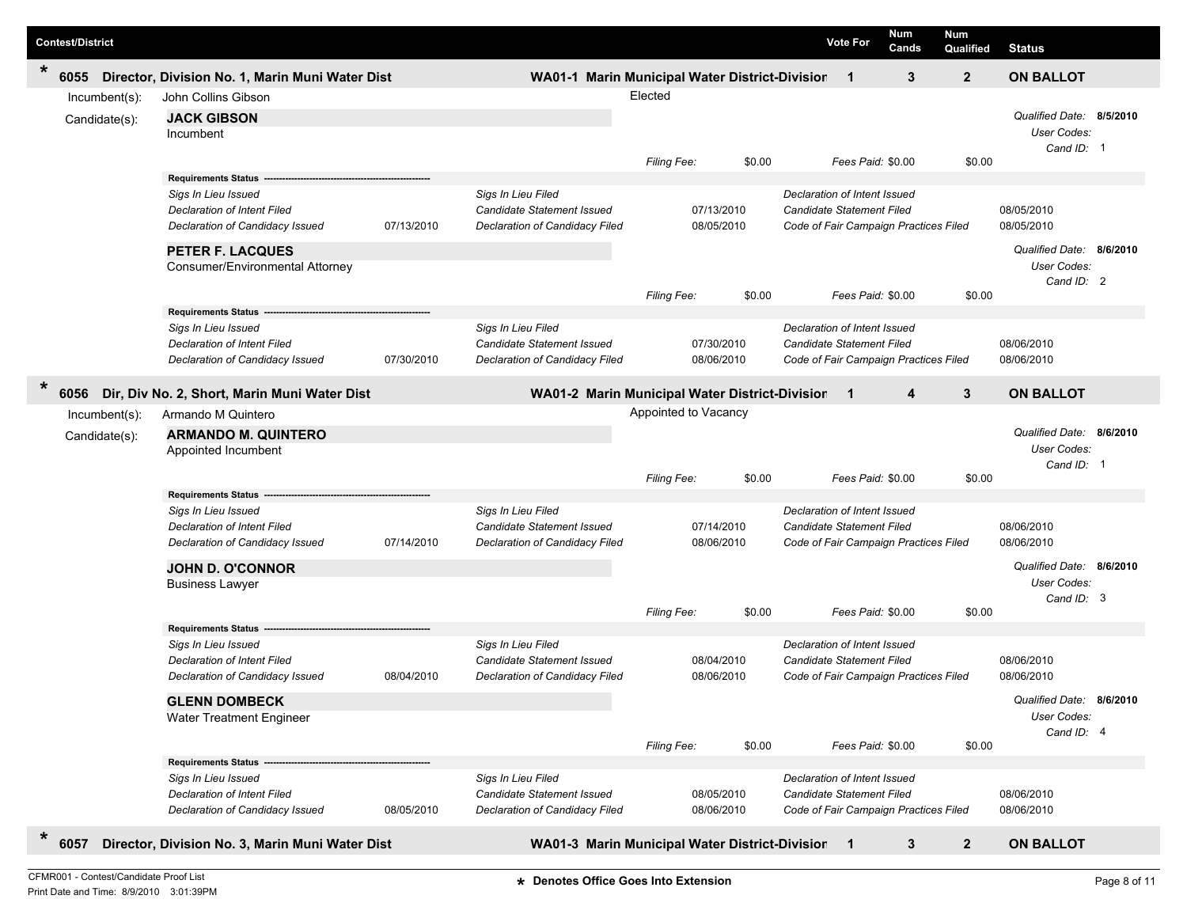| <b>Contest/District</b>        |                                                                                                                                                                                     |            |                                                                                    |                      |                                    | <b>Vote For</b>                                                                                    | Num<br>Cands | <b>Num</b><br>Qualified | <b>Status</b>                                                       |  |
|--------------------------------|-------------------------------------------------------------------------------------------------------------------------------------------------------------------------------------|------------|------------------------------------------------------------------------------------|----------------------|------------------------------------|----------------------------------------------------------------------------------------------------|--------------|-------------------------|---------------------------------------------------------------------|--|
| $\ast$<br>6055                 | Director, Division No. 1, Marin Muni Water Dist                                                                                                                                     |            | WA01-1 Marin Municipal Water District-Division                                     |                      |                                    | $\overline{\mathbf{1}}$                                                                            | 3            | $\overline{2}$          | <b>ON BALLOT</b>                                                    |  |
| Incumbent(s):<br>Candidate(s): | John Collins Gibson<br><b>JACK GIBSON</b><br>Incumbent                                                                                                                              |            |                                                                                    | Elected              |                                    |                                                                                                    |              |                         | Qualified Date: 8/5/2010<br>User Codes:<br>Cand ID: 1               |  |
|                                |                                                                                                                                                                                     |            |                                                                                    | Filing Fee:          | \$0.00                             | Fees Paid: \$0.00                                                                                  |              | \$0.00                  |                                                                     |  |
|                                | <b>Requirements Status -</b><br>Sigs In Lieu Issued<br>Declaration of Intent Filed<br>Declaration of Candidacy Issued<br><b>PETER F. LACQUES</b><br>Consumer/Environmental Attorney | 07/13/2010 | Sigs In Lieu Filed<br>Candidate Statement Issued<br>Declaration of Candidacy Filed |                      | 07/13/2010<br>08/05/2010           | Declaration of Intent Issued<br>Candidate Statement Filed<br>Code of Fair Campaign Practices Filed |              |                         | 08/05/2010<br>08/05/2010<br>Qualified Date: 8/6/2010<br>User Codes: |  |
|                                |                                                                                                                                                                                     |            |                                                                                    | Filing Fee:          | \$0.00                             | Fees Paid: \$0.00                                                                                  |              | \$0.00                  | Cand ID: 2                                                          |  |
|                                | <b>Requirements Status</b><br>Sigs In Lieu Issued<br>Declaration of Intent Filed<br>Declaration of Candidacy Issued                                                                 | 07/30/2010 | Sigs In Lieu Filed<br>Candidate Statement Issued<br>Declaration of Candidacy Filed |                      | 07/30/2010<br>08/06/2010           | Declaration of Intent Issued<br>Candidate Statement Filed<br>Code of Fair Campaign Practices Filed |              |                         | 08/06/2010<br>08/06/2010                                            |  |
| *<br>6056                      | Dir, Div No. 2, Short, Marin Muni Water Dist                                                                                                                                        |            | WA01-2 Marin Municipal Water District-Division                                     |                      |                                    | $\blacksquare$ 1                                                                                   | 4            | 3                       | <b>ON BALLOT</b>                                                    |  |
| Incumbent(s):<br>Candidate(s): | Armando M Quintero<br><b>ARMANDO M. QUINTERO</b>                                                                                                                                    |            |                                                                                    | Appointed to Vacancy |                                    |                                                                                                    |              |                         | Qualified Date: 8/6/2010                                            |  |
|                                | Appointed Incumbent                                                                                                                                                                 |            |                                                                                    | Filing Fee:          | \$0.00                             | Fees Paid: \$0.00                                                                                  |              | \$0.00                  | User Codes:<br>Cand ID: 1                                           |  |
|                                | Requirements Status                                                                                                                                                                 |            |                                                                                    |                      |                                    |                                                                                                    |              |                         |                                                                     |  |
|                                | Sigs In Lieu Issued<br><b>Declaration of Intent Filed</b><br>Declaration of Candidacy Issued                                                                                        | 07/14/2010 | Sigs In Lieu Filed<br>Candidate Statement Issued<br>Declaration of Candidacy Filed |                      | 07/14/2010<br>08/06/2010           | Declaration of Intent Issued<br>Candidate Statement Filed<br>Code of Fair Campaign Practices Filed |              |                         | 08/06/2010<br>08/06/2010                                            |  |
|                                | <b>JOHN D. O'CONNOR</b><br><b>Business Lawyer</b>                                                                                                                                   |            |                                                                                    |                      |                                    |                                                                                                    |              |                         | Qualified Date: 8/6/2010<br><b>User Codes:</b>                      |  |
|                                |                                                                                                                                                                                     |            |                                                                                    | Filing Fee:          | \$0.00                             | Fees Paid: \$0.00                                                                                  |              | \$0.00                  | Cand ID: 3                                                          |  |
|                                | <b>Requirements Status</b><br>Sigs In Lieu Issued<br>Declaration of Intent Filed<br>Declaration of Candidacy Issued                                                                 | 08/04/2010 | Sigs In Lieu Filed<br>Candidate Statement Issued<br>Declaration of Candidacy Filed |                      | 08/04/2010<br>08/06/2010           | Declaration of Intent Issued<br>Candidate Statement Filed<br>Code of Fair Campaign Practices Filed |              |                         | 08/06/2010<br>08/06/2010                                            |  |
|                                | <b>GLENN DOMBECK</b><br>Water Treatment Engineer                                                                                                                                    |            |                                                                                    |                      |                                    | Fees Paid: \$0.00                                                                                  |              |                         | Qualified Date: 8/6/2010<br>User Codes:<br>Cand ID: 4               |  |
|                                | Requirements Status --<br>Sigs In Lieu Issued<br>Declaration of Intent Filed<br>Declaration of Candidacy Issued                                                                     | 08/05/2010 | Sigs In Lieu Filed<br>Candidate Statement Issued<br>Declaration of Candidacy Filed | Filing Fee:          | \$0.00<br>08/05/2010<br>08/06/2010 | Declaration of Intent Issued<br>Candidate Statement Filed<br>Code of Fair Campaign Practices Filed |              | \$0.00                  | 08/06/2010<br>08/06/2010                                            |  |
| *<br>6057                      | Director, Division No. 3, Marin Muni Water Dist                                                                                                                                     |            | WA01-3 Marin Municipal Water District-Division 1                                   |                      |                                    |                                                                                                    | 3            | $\mathbf{2}$            | <b>ON BALLOT</b>                                                    |  |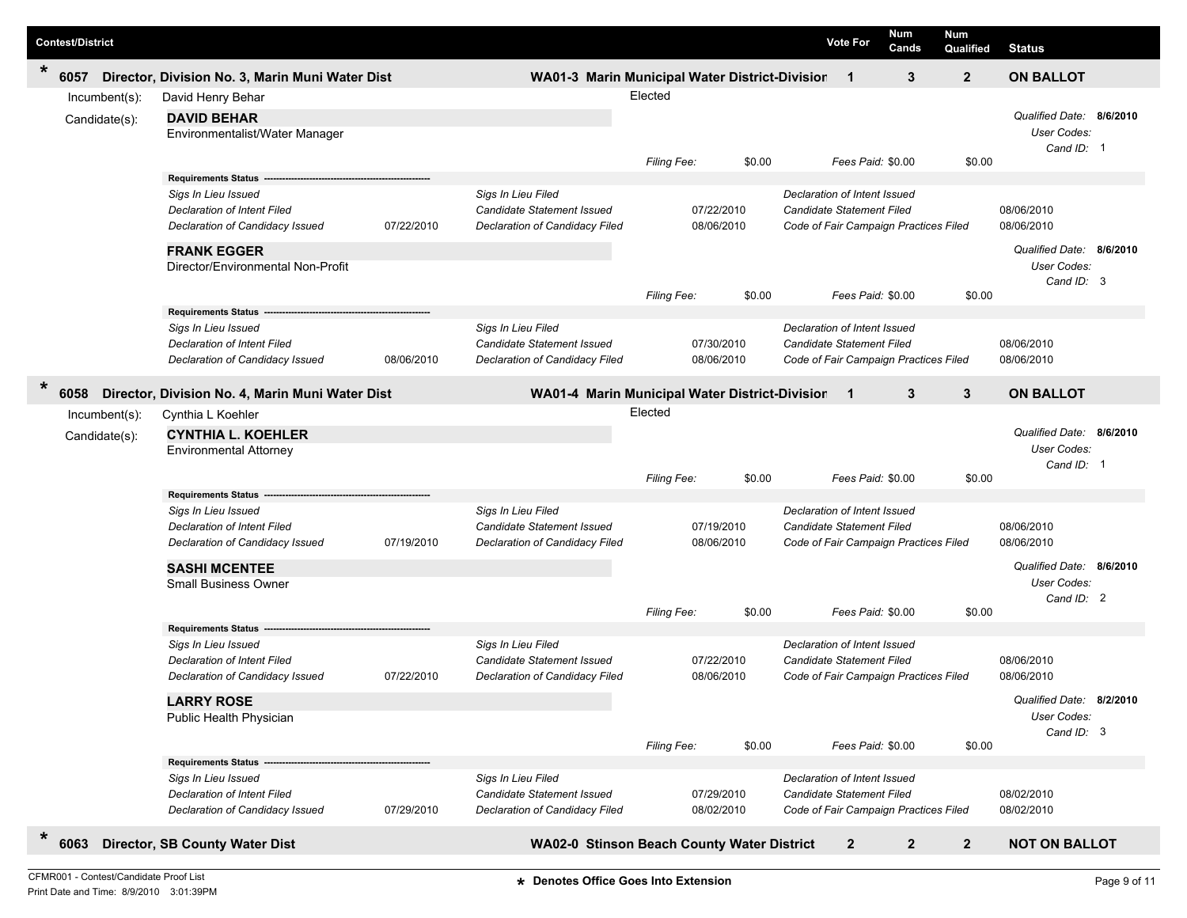| <b>Contest/District</b>                     |                                                                                                                                                                                  |            |                                                                                    |                        |                                    | <b>Vote For</b>                                                                                                                | Num<br>Cands | Num<br>Qualified | <b>Status</b>                                                                            |  |
|---------------------------------------------|----------------------------------------------------------------------------------------------------------------------------------------------------------------------------------|------------|------------------------------------------------------------------------------------|------------------------|------------------------------------|--------------------------------------------------------------------------------------------------------------------------------|--------------|------------------|------------------------------------------------------------------------------------------|--|
| $\ast$<br>6057                              | Director, Division No. 3, Marin Muni Water Dist                                                                                                                                  |            | WA01-3 Marin Municipal Water District-Division                                     |                        |                                    | $\overline{\mathbf{1}}$                                                                                                        | 3            | $\overline{2}$   | <b>ON BALLOT</b>                                                                         |  |
| Incumbent(s):<br>Candidate(s):              | David Henry Behar<br><b>DAVID BEHAR</b><br>Environmentalist/Water Manager                                                                                                        |            |                                                                                    | Elected                |                                    |                                                                                                                                |              |                  | Qualified Date: 8/6/2010<br>User Codes:<br>Cand ID: 1                                    |  |
|                                             | <b>Requirements Status -</b><br>Sigs In Lieu Issued<br>Declaration of Intent Filed<br>Declaration of Candidacy Issued<br><b>FRANK EGGER</b><br>Director/Environmental Non-Profit | 07/22/2010 | Sigs In Lieu Filed<br>Candidate Statement Issued<br>Declaration of Candidacy Filed | Filing Fee:            | \$0.00<br>07/22/2010<br>08/06/2010 | Fees Paid: \$0.00<br>Declaration of Intent Issued<br><b>Candidate Statement Filed</b><br>Code of Fair Campaign Practices Filed |              | \$0.00           | 08/06/2010<br>08/06/2010<br>Qualified Date: 8/6/2010<br>User Codes:<br>Cand ID: 3        |  |
|                                             | Requirements Status ---<br>Sigs In Lieu Issued<br><b>Declaration of Intent Filed</b><br>Declaration of Candidacy Issued                                                          | 08/06/2010 | Sigs In Lieu Filed<br>Candidate Statement Issued<br>Declaration of Candidacy Filed | Filing Fee:            | \$0.00<br>07/30/2010<br>08/06/2010 | Fees Paid: \$0.00<br>Declaration of Intent Issued<br>Candidate Statement Filed<br>Code of Fair Campaign Practices Filed        |              | \$0.00           | 08/06/2010<br>08/06/2010                                                                 |  |
| *<br>6058<br>Incumbent(s):<br>Candidate(s): | Director, Division No. 4, Marin Muni Water Dist<br>Cynthia L Koehler<br><b>CYNTHIA L. KOEHLER</b><br><b>Environmental Attorney</b>                                               |            | WA01-4 Marin Municipal Water District-Division                                     | Elected<br>Filing Fee: | \$0.00                             | $\overline{\mathbf{1}}$<br>Fees Paid: \$0.00                                                                                   | 3            | 3<br>\$0.00      | <b>ON BALLOT</b><br>Qualified Date: 8/6/2010<br>User Codes:<br>Cand ID: 1                |  |
|                                             | Requirements Status --<br>Sigs In Lieu Issued<br>Declaration of Intent Filed<br>Declaration of Candidacy Issued<br><b>SASHI MCENTEE</b><br><b>Small Business Owner</b>           | 07/19/2010 | Sigs In Lieu Filed<br>Candidate Statement Issued<br>Declaration of Candidacy Filed |                        | 07/19/2010<br>08/06/2010           | Declaration of Intent Issued<br>Candidate Statement Filed<br>Code of Fair Campaign Practices Filed                             |              |                  | 08/06/2010<br>08/06/2010<br>Qualified Date: 8/6/2010<br><b>User Codes:</b><br>Cand ID: 2 |  |
|                                             | <b>Requirements Status</b><br>Sigs In Lieu Issued<br><b>Declaration of Intent Filed</b><br>Declaration of Candidacy Issued                                                       | 07/22/2010 | Sigs In Lieu Filed<br>Candidate Statement Issued<br>Declaration of Candidacy Filed | Filing Fee:            | \$0.00<br>07/22/2010<br>08/06/2010 | Fees Paid: \$0.00<br>Declaration of Intent Issued<br>Candidate Statement Filed<br>Code of Fair Campaign Practices Filed        |              | \$0.00           | 08/06/2010<br>08/06/2010                                                                 |  |
|                                             | <b>LARRY ROSE</b><br>Public Health Physician<br><b>Requirements Status</b><br>Sigs In Lieu Issued<br>Declaration of Intent Filed                                                 |            | Sigs In Lieu Filed<br>Candidate Statement Issued                                   | Filing Fee:            | \$0.00<br>07/29/2010               | Fees Paid: \$0.00<br>Declaration of Intent Issued<br>Candidate Statement Filed                                                 |              | \$0.00           | Qualified Date: 8/2/2010<br>User Codes:<br>Cand ID: 3<br>08/02/2010                      |  |
| $\ast$<br>6063                              | Declaration of Candidacy Issued<br>Director, SB County Water Dist                                                                                                                | 07/29/2010 | Declaration of Candidacy Filed<br>WA02-0 Stinson Beach County Water District       |                        | 08/02/2010                         | Code of Fair Campaign Practices Filed<br>$\mathbf{2}$                                                                          | $\mathbf{2}$ | $\overline{2}$   | 08/02/2010<br><b>NOT ON BALLOT</b>                                                       |  |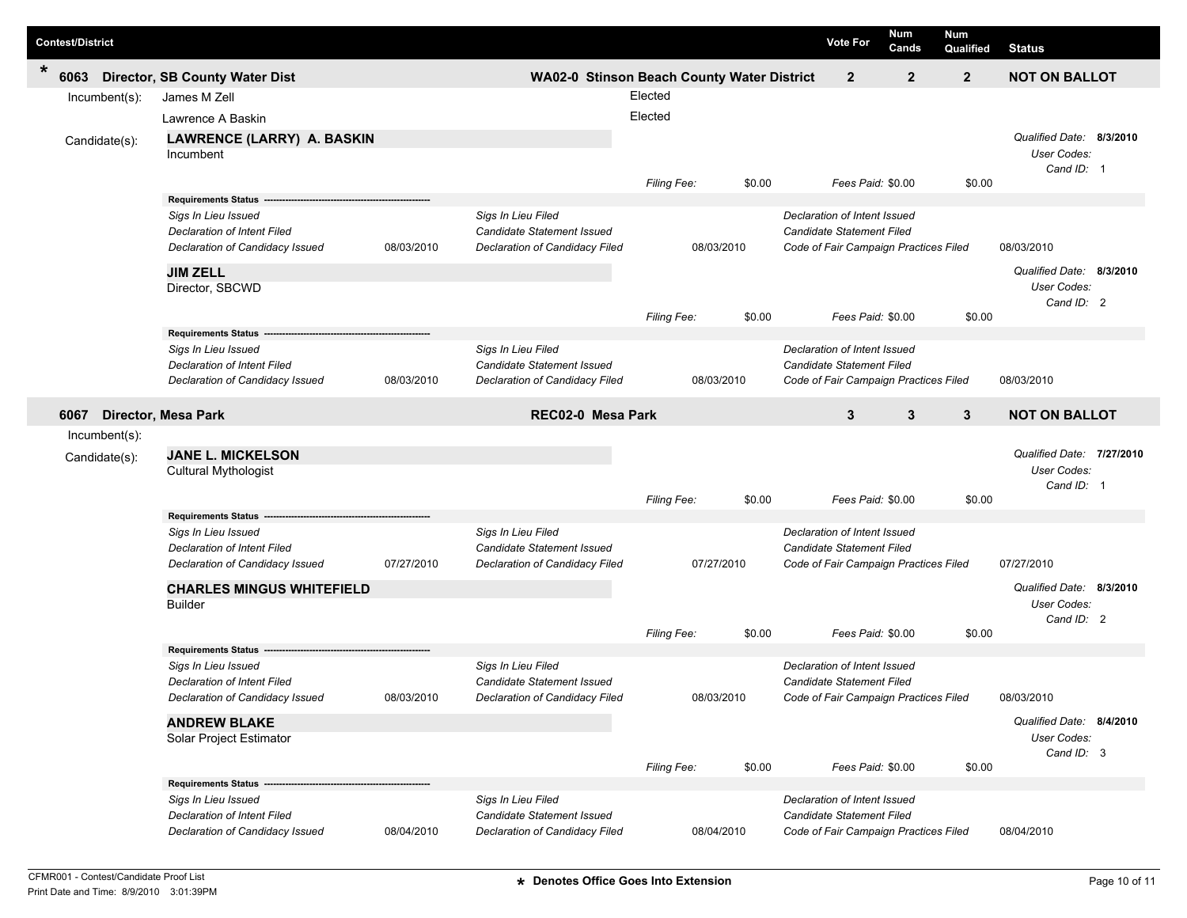| <b>Contest/District</b> |                                                                |            |                                                  |                    |        | <b>Vote For</b>                                                  | Num<br>Cands | <b>Num</b><br>Qualified | <b>Status</b>                           |          |
|-------------------------|----------------------------------------------------------------|------------|--------------------------------------------------|--------------------|--------|------------------------------------------------------------------|--------------|-------------------------|-----------------------------------------|----------|
| *<br>6063               | <b>Director, SB County Water Dist</b>                          |            | WA02-0 Stinson Beach County Water District       |                    |        | $\overline{2}$                                                   | $\mathbf{2}$ | $\overline{2}$          | <b>NOT ON BALLOT</b>                    |          |
| Incumbent(s):           | James M Zell                                                   |            |                                                  | Elected            |        |                                                                  |              |                         |                                         |          |
|                         | Lawrence A Baskin                                              |            |                                                  | Elected            |        |                                                                  |              |                         |                                         |          |
| Candidate(s):           | LAWRENCE (LARRY) A. BASKIN                                     |            |                                                  |                    |        |                                                                  |              |                         | Qualified Date: 8/3/2010                |          |
|                         | Incumbent                                                      |            |                                                  |                    |        |                                                                  |              |                         | User Codes:                             |          |
|                         |                                                                |            |                                                  | <b>Filing Fee:</b> | \$0.00 | Fees Paid: \$0.00                                                |              | \$0.00                  | Cand ID: 1                              |          |
|                         | <b>Requirements Status</b>                                     |            |                                                  |                    |        |                                                                  |              |                         |                                         |          |
|                         | Sigs In Lieu Issued                                            |            | Sigs In Lieu Filed                               |                    |        | Declaration of Intent Issued                                     |              |                         |                                         |          |
|                         | <b>Declaration of Intent Filed</b>                             |            | Candidate Statement Issued                       |                    |        | Candidate Statement Filed                                        |              |                         |                                         |          |
|                         | Declaration of Candidacy Issued                                | 08/03/2010 | Declaration of Candidacy Filed                   | 08/03/2010         |        | Code of Fair Campaign Practices Filed                            |              |                         | 08/03/2010                              |          |
|                         | <b>JIM ZELL</b>                                                |            |                                                  |                    |        |                                                                  |              |                         | Qualified Date:                         | 8/3/2010 |
|                         | Director, SBCWD                                                |            |                                                  |                    |        |                                                                  |              |                         | User Codes:                             |          |
|                         |                                                                |            |                                                  |                    | \$0.00 | Fees Paid: \$0.00                                                |              | \$0.00                  | Cand ID: 2                              |          |
|                         | <b>Requirements Status</b>                                     |            |                                                  | Filing Fee:        |        |                                                                  |              |                         |                                         |          |
|                         | Sigs In Lieu Issued                                            |            | Sigs In Lieu Filed                               |                    |        | Declaration of Intent Issued                                     |              |                         |                                         |          |
|                         | <b>Declaration of Intent Filed</b>                             |            | Candidate Statement Issued                       |                    |        | Candidate Statement Filed                                        |              |                         |                                         |          |
|                         | Declaration of Candidacy Issued                                | 08/03/2010 | Declaration of Candidacy Filed                   | 08/03/2010         |        | Code of Fair Campaign Practices Filed                            |              |                         | 08/03/2010                              |          |
| 6067                    | <b>Director, Mesa Park</b>                                     |            | REC02-0 Mesa Park                                |                    |        | 3                                                                | 3            | $\mathbf{3}$            | <b>NOT ON BALLOT</b>                    |          |
| Incumbent(s):           |                                                                |            |                                                  |                    |        |                                                                  |              |                         |                                         |          |
|                         | <b>JANE L. MICKELSON</b>                                       |            |                                                  |                    |        |                                                                  |              |                         | Qualified Date: 7/27/2010               |          |
| Candidate(s):           | Cultural Mythologist                                           |            |                                                  |                    |        |                                                                  |              |                         | User Codes:                             |          |
|                         |                                                                |            |                                                  |                    |        |                                                                  |              |                         | Cand ID: 1                              |          |
|                         |                                                                |            |                                                  | Filing Fee:        | \$0.00 | Fees Paid: \$0.00                                                |              | \$0.00                  |                                         |          |
|                         | <b>Requirements Status</b>                                     |            |                                                  |                    |        | Declaration of Intent Issued                                     |              |                         |                                         |          |
|                         | Sigs In Lieu Issued<br><b>Declaration of Intent Filed</b>      |            | Sigs In Lieu Filed<br>Candidate Statement Issued |                    |        | <b>Candidate Statement Filed</b>                                 |              |                         |                                         |          |
|                         | Declaration of Candidacy Issued                                | 07/27/2010 | Declaration of Candidacy Filed                   | 07/27/2010         |        | Code of Fair Campaign Practices Filed                            |              |                         | 07/27/2010                              |          |
|                         |                                                                |            |                                                  |                    |        |                                                                  |              |                         | Qualified Date: 8/3/2010                |          |
|                         | <b>CHARLES MINGUS WHITEFIELD</b><br><b>Builder</b>             |            |                                                  |                    |        |                                                                  |              |                         | User Codes:                             |          |
|                         |                                                                |            |                                                  |                    |        |                                                                  |              |                         | Cand ID: 2                              |          |
|                         |                                                                |            |                                                  | Filing Fee:        | \$0.00 | Fees Paid: \$0.00                                                |              | \$0.00                  |                                         |          |
|                         | <b>Requirements Status</b>                                     |            |                                                  |                    |        |                                                                  |              |                         |                                         |          |
|                         | Sigs In Lieu Issued<br>Declaration of Intent Filed             |            | Sigs In Lieu Filed<br>Candidate Statement Issued |                    |        | Declaration of Intent Issued<br>Candidate Statement Filed        |              |                         |                                         |          |
|                         | Declaration of Candidacy Issued                                | 08/03/2010 | Declaration of Candidacy Filed                   | 08/03/2010         |        | Code of Fair Campaign Practices Filed                            |              |                         | 08/03/2010                              |          |
|                         |                                                                |            |                                                  |                    |        |                                                                  |              |                         |                                         |          |
|                         | <b>ANDREW BLAKE</b><br>Solar Project Estimator                 |            |                                                  |                    |        |                                                                  |              |                         | Qualified Date: 8/4/2010<br>User Codes: |          |
|                         |                                                                |            |                                                  |                    |        |                                                                  |              |                         | Cand ID: 3                              |          |
|                         |                                                                |            |                                                  | Filing Fee:        | \$0.00 | Fees Paid: \$0.00                                                |              | \$0.00                  |                                         |          |
|                         | <b>Requirements Status -</b>                                   |            |                                                  |                    |        |                                                                  |              |                         |                                         |          |
|                         | Sigs In Lieu Issued                                            |            | Sigs In Lieu Filed<br>Candidate Statement Issued |                    |        | Declaration of Intent Issued<br><b>Candidate Statement Filed</b> |              |                         |                                         |          |
|                         | Declaration of Intent Filed<br>Declaration of Candidacy Issued | 08/04/2010 | Declaration of Candidacy Filed                   | 08/04/2010         |        | Code of Fair Campaign Practices Filed                            |              |                         | 08/04/2010                              |          |
|                         |                                                                |            |                                                  |                    |        |                                                                  |              |                         |                                         |          |

Γ